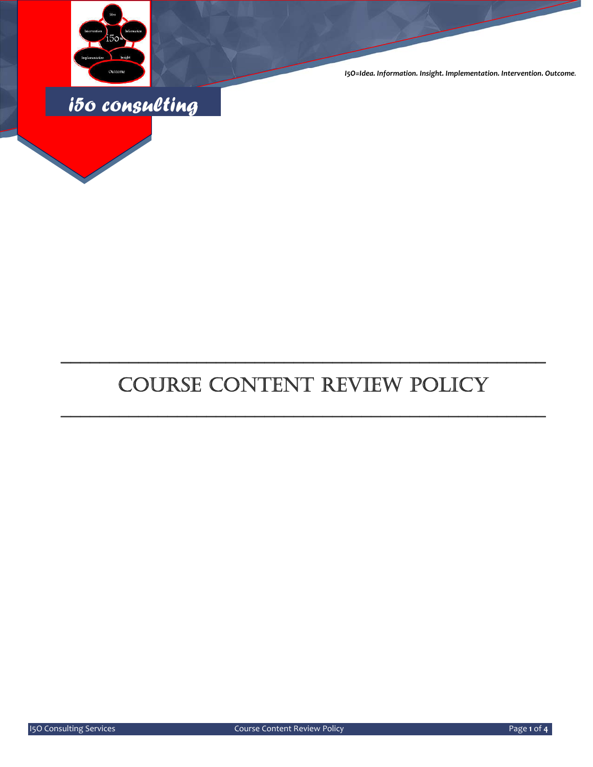

*I5O=Idea. Information. Insight. Implementation. Intervention. Outcome.*



# COURSE CONTENT REVIEW POLICY

\_\_\_\_\_\_\_\_\_\_\_\_\_\_\_\_\_\_\_\_\_\_\_\_\_\_\_\_\_\_\_\_\_\_\_\_\_\_\_\_\_\_\_\_\_\_\_\_\_\_

\_\_\_\_\_\_\_\_\_\_\_\_\_\_\_\_\_\_\_\_\_\_\_\_\_\_\_\_\_\_\_\_\_\_\_\_\_\_\_\_\_\_\_\_\_\_\_\_\_\_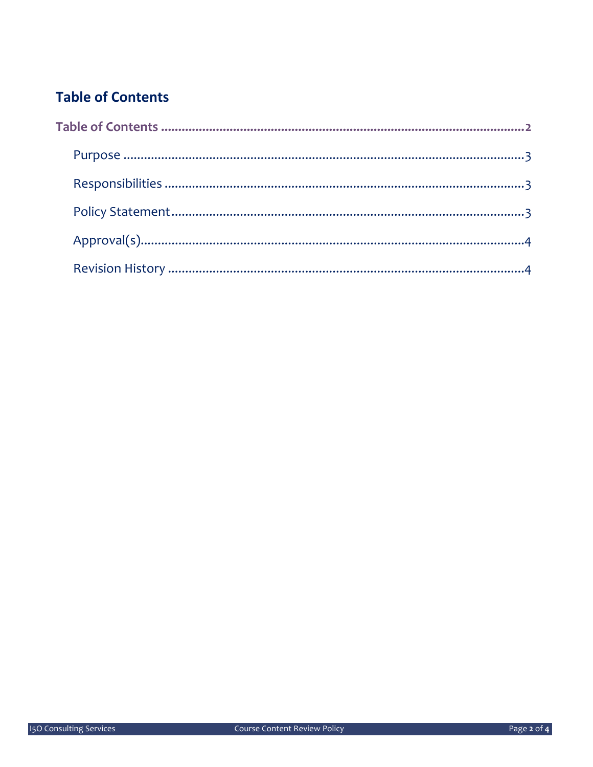### **Table of Contents**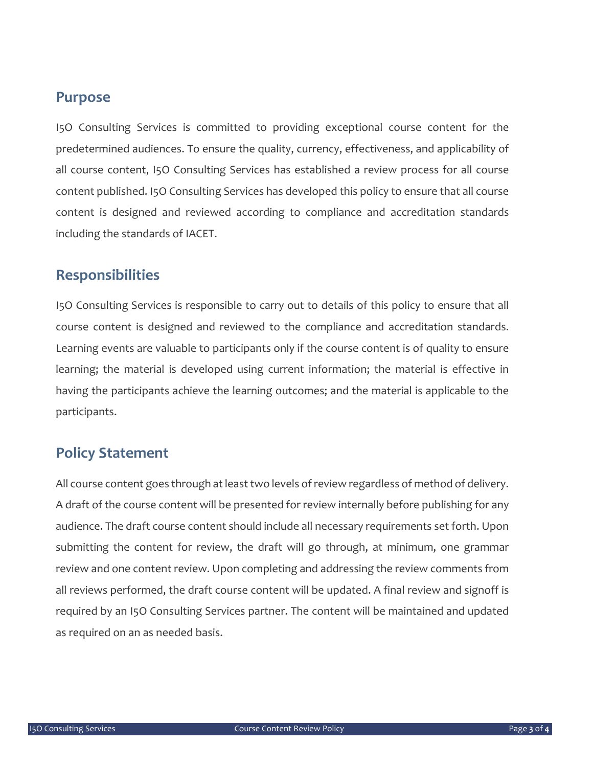#### **Purpose**

I5O Consulting Services is committed to providing exceptional course content for the predetermined audiences. To ensure the quality, currency, effectiveness, and applicability of all course content, I5O Consulting Services has established a review process for all course content published. I5O Consulting Services has developed this policy to ensure that all course content is designed and reviewed according to compliance and accreditation standards including the standards of IACET.

#### **Responsibilities**

I5O Consulting Services is responsible to carry out to details of this policy to ensure that all course content is designed and reviewed to the compliance and accreditation standards. Learning events are valuable to participants only if the course content is of quality to ensure learning; the material is developed using current information; the material is effective in having the participants achieve the learning outcomes; and the material is applicable to the participants.

#### **Policy Statement**

All course content goes through at least two levels of review regardless of method of delivery. A draft of the course content will be presented for review internally before publishing for any audience. The draft course content should include all necessary requirements set forth. Upon submitting the content for review, the draft will go through, at minimum, one grammar review and one content review. Upon completing and addressing the review comments from all reviews performed, the draft course content will be updated. A final review and signoff is required by an I5O Consulting Services partner. The content will be maintained and updated as required on an as needed basis.